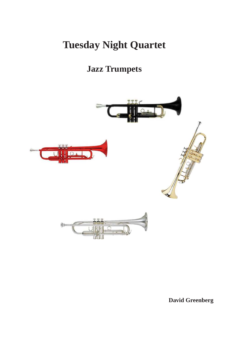## **Jazz Trumpets**



**David Greenberg**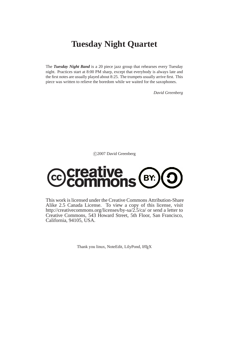The *Tuesday Night Band* is a 20 piece jazz group that rehearses every Tuesday night. Practices start at 8:00 PM sharp, except that everybody is always late and the first notes are usually played about 8:25. The trumpets usually arrive first. This piece was written to relieve the boredom while we waited for the saxophones.

*David Greenberg*

c 2007 David Greenberg



This work is licensed under the Creative Commons Attribution-Share Alike 2.5 Canada License. To view a copy of this license, visit http://creativecommons.org/licenses/by-sa/2.5/ca/ or send a letter to Creative Commons, 543 Howard Street, 5th Floor, San Francisco, California, 94105, USA.

Thank you linux, NoteEdit, LilyPond, LHFX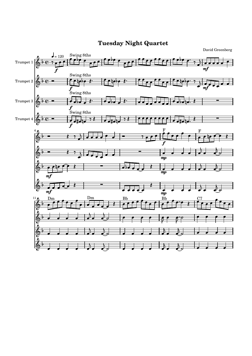David Greenberg Swing 8ths  $\bullet$ = 120 Trumpet 1  $e<sub>7</sub>$  $m f$ ł Swing 8ths  $e_{\text{lobo}}$  $\operatorname{Trumpet}2$  $\overrightarrow{t}$  $\frac{1}{2} \frac{1}{2} \frac{1}{2} \frac{1}{2} \frac{1}{2} \frac{1}{2} \frac{1}{2} \frac{1}{2} \frac{1}{2} \frac{1}{2} \frac{1}{2} \frac{1}{2} \frac{1}{2} \frac{1}{2} \frac{1}{2} \frac{1}{2} \frac{1}{2} \frac{1}{2} \frac{1}{2} \frac{1}{2} \frac{1}{2} \frac{1}{2} \frac{1}{2} \frac{1}{2} \frac{1}{2} \frac{1}{2} \frac{1}{2} \frac{1}{2} \frac{1}{2} \frac{1}{2} \frac{1}{2} \frac{$ -€ ĦŦ Swing 8ths  $\sqrt{10}$  $\overrightarrow{d}$  ,  $\overrightarrow{b}$  ,  $\overrightarrow{b}$  ,  $\overrightarrow{b}$  ,  $\operatorname{Trumpet}$  3  $\overrightarrow{\phantom{a}}$  $e -$ ₹ € ÷  $\overline{f}_{\text{Swing }\text{8ths}}$ ₹ Trumpet 4  $\frac{1}{2^{H}}$  $\mathbf{e}$ ッく रित् ッく  $\overline{\boldsymbol{f}}$ ĸ  $\overline{\phantom{a}}$  $\overline{mp}$  $\frac{1}{\sqrt{2}}$  $\overline{\mathsf{f}}$  $\frac{1}{mp}$  $\overline{mf}$  $\frac{1}{\frac{1}{mp}}$  $\overline{mf}$  $11$ Dm Dm **Bb**  $Bb$ ⊧æ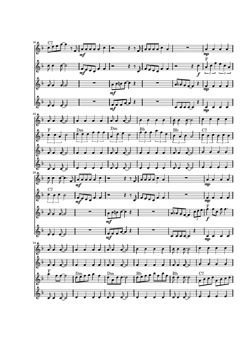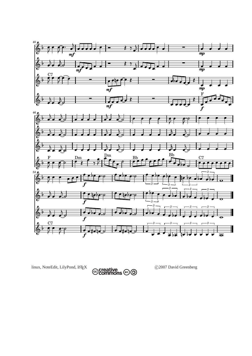

linux, NoteEdit, LilyPond, L<sup>AT</sup>EX **c** Creative **c** 2007 David Greenberg **c** 2007 David Greenberg **c** 2007 David Greenberg **c** 2007 David Greenberg **c** 2007 David Greenberg **c** 2007 David Greenberg **c** 2007 David G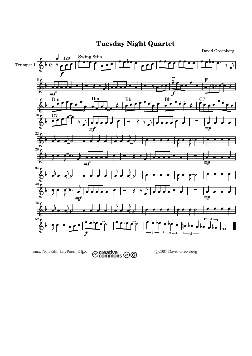David Greenberg



linux, NoteEdit, LilyPond, L<sup>AT</sup>EX 
corrective 
commons 
<sup>c</sup> 2007 David Greenberg

c 2007 David Greenberg

c 2007 David Greenberg

c 2007 David Greenberg

c 2007 David Greenberg

c 2007 David Greenberg

c 2007 David Greenb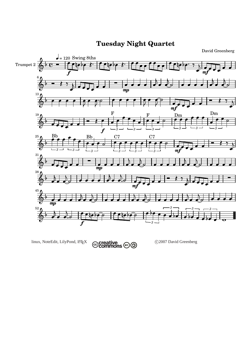David Greenberg



linux, NoteEdit, LilyPond, L<sup>AT</sup>EX 
corrective 
commons 
<sup>c</sup> 2007 David Greenberg

c 2007 David Greenberg

c 2007 David Greenberg

c 2007 David Greenberg

c 2007 David Greenberg

c 2007 David Greenberg

c 2007 David Greenb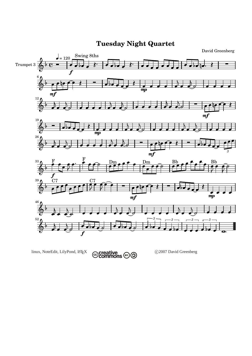David Greenberg



linux, NoteEdit, LilyPond, L<sup>AT</sup>EX 
corrective 
commons 
<sup>c</sup> 2007 David Greenberg

c 2007 David Greenberg

c 2007 David Greenberg

c 2007 David Greenberg

c 2007 David Greenberg

c 2007 David Greenberg

c 2007 David Greenb